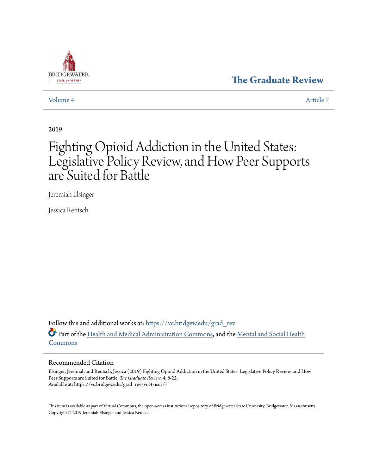### **[The Graduate Review](https://vc.bridgew.edu/grad_rev?utm_source=vc.bridgew.edu%2Fgrad_rev%2Fvol4%2Fiss1%2F7&utm_medium=PDF&utm_campaign=PDFCoverPages)**



#### [Volume 4](https://vc.bridgew.edu/grad_rev/vol4?utm_source=vc.bridgew.edu%2Fgrad_rev%2Fvol4%2Fiss1%2F7&utm_medium=PDF&utm_campaign=PDFCoverPages) [Article 7](https://vc.bridgew.edu/grad_rev/vol4/iss1/7?utm_source=vc.bridgew.edu%2Fgrad_rev%2Fvol4%2Fiss1%2F7&utm_medium=PDF&utm_campaign=PDFCoverPages)

2019

# Fighting Opioid Addiction in the United States: Legislative Policy Review, and How Peer Supports are Suited for Battle

Jeremiah Elsinger

Jessica Rentsch

Follow this and additional works at: [https://vc.bridgew.edu/grad\\_rev](https://vc.bridgew.edu/grad_rev?utm_source=vc.bridgew.edu%2Fgrad_rev%2Fvol4%2Fiss1%2F7&utm_medium=PDF&utm_campaign=PDFCoverPages) Part of the [Health and Medical Administration Commons](http://network.bepress.com/hgg/discipline/663?utm_source=vc.bridgew.edu%2Fgrad_rev%2Fvol4%2Fiss1%2F7&utm_medium=PDF&utm_campaign=PDFCoverPages), and the [Mental and Social Health](http://network.bepress.com/hgg/discipline/709?utm_source=vc.bridgew.edu%2Fgrad_rev%2Fvol4%2Fiss1%2F7&utm_medium=PDF&utm_campaign=PDFCoverPages) [Commons](http://network.bepress.com/hgg/discipline/709?utm_source=vc.bridgew.edu%2Fgrad_rev%2Fvol4%2Fiss1%2F7&utm_medium=PDF&utm_campaign=PDFCoverPages)

#### Recommended Citation

Elsinger, Jeremiah and Rentsch, Jessica (2019) Fighting Opioid Addiction in the United States: Legislative Policy Review, and How Peer Supports are Suited for Battle. *The Graduate Review*, 4, 8-22. Available at: https://vc.bridgew.edu/grad\_rev/vol4/iss1/7

This item is available as part of Virtual Commons, the open-access institutional repository of Bridgewater State University, Bridgewater, Massachusetts. Copyright © 2019 Jeremiah Elsinger and Jessica Rentsch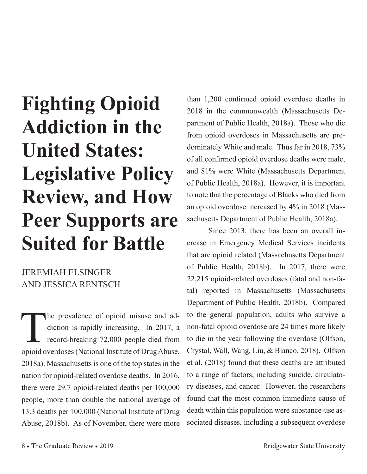# **Fighting Opioid Addiction in the United States: Legislative Policy Review, and How Peer Supports are Suited for Battle**

# JEREMIAH ELSINGER AND JESSICA RENTSCH

The prevalence of opioid misuse and addiction is rapidly increasing. In 2017, a record-breaking 72,000 people died from diction is rapidly increasing. In 2017, a record-breaking 72,000 people died from opioid overdoses (National Institute of Drug Abuse, 2018a). Massachusetts is one of the top states in the nation for opioid-related overdose deaths. In 2016, there were 29.7 opioid-related deaths per 100,000 people, more than double the national average of 13.3 deaths per 100,000 (National Institute of Drug Abuse, 2018b). As of November, there were more

than 1,200 confirmed opioid overdose deaths in 2018 in the commonwealth (Massachusetts Department of Public Health, 2018a). Those who die from opioid overdoses in Massachusetts are predominately White and male. Thus far in 2018, 73% of all confirmed opioid overdose deaths were male, and 81% were White (Massachusetts Department of Public Health, 2018a). However, it is important to note that the percentage of Blacks who died from an opioid overdose increased by 4% in 2018 (Massachusetts Department of Public Health, 2018a).

Since 2013, there has been an overall increase in Emergency Medical Services incidents that are opioid related (Massachusetts Department of Public Health, 2018b). In 2017, there were 22,215 opioid-related overdoses (fatal and non-fatal) reported in Massachusetts (Massachusetts Department of Public Health, 2018b). Compared to the general population, adults who survive a non-fatal opioid overdose are 24 times more likely to die in the year following the overdose (Olfson, Crystal, Wall, Wang, Liu, & Blanco, 2018). Olfson et al. (2018) found that these deaths are attributed to a range of factors, including suicide, circulatory diseases, and cancer. However, the researchers found that the most common immediate cause of death within this population were substance-use associated diseases, including a subsequent overdose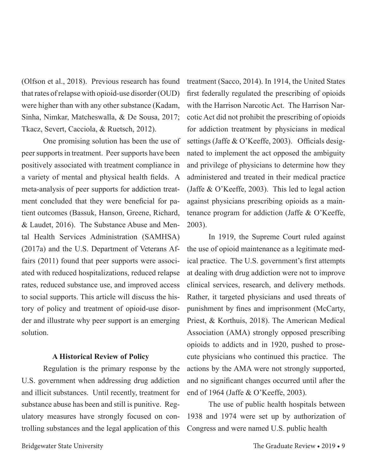(Olfson et al., 2018). Previous research has found that rates of relapse with opioid-use disorder (OUD) were higher than with any other substance (Kadam, Sinha, Nimkar, Matcheswalla, & De Sousa, 2017; Tkacz, Severt, Cacciola, & Ruetsch, 2012).

One promising solution has been the use of peer supports in treatment. Peer supports have been positively associated with treatment compliance in a variety of mental and physical health fields. A meta-analysis of peer supports for addiction treatment concluded that they were beneficial for patient outcomes (Bassuk, Hanson, Greene, Richard, & Laudet, 2016). The Substance Abuse and Mental Health Services Administration (SAMHSA) (2017a) and the U.S. Department of Veterans Affairs (2011) found that peer supports were associated with reduced hospitalizations, reduced relapse rates, reduced substance use, and improved access to social supports. This article will discuss the history of policy and treatment of opioid-use disorder and illustrate why peer support is an emerging solution.

#### **A Historical Review of Policy**

Regulation is the primary response by the U.S. government when addressing drug addiction and illicit substances. Until recently, treatment for substance abuse has been and still is punitive. Regulatory measures have strongly focused on controlling substances and the legal application of this

treatment (Sacco, 2014). In 1914, the United States first federally regulated the prescribing of opioids with the Harrison Narcotic Act. The Harrison Narcotic Act did not prohibit the prescribing of opioids for addiction treatment by physicians in medical settings (Jaffe & O'Keeffe, 2003). Officials designated to implement the act opposed the ambiguity and privilege of physicians to determine how they administered and treated in their medical practice (Jaffe & O'Keeffe, 2003). This led to legal action against physicians prescribing opioids as a maintenance program for addiction (Jaffe & O'Keeffe, 2003).

In 1919, the Supreme Court ruled against the use of opioid maintenance as a legitimate medical practice. The U.S. government's first attempts at dealing with drug addiction were not to improve clinical services, research, and delivery methods. Rather, it targeted physicians and used threats of punishment by fines and imprisonment (McCarty, Priest, & Korthuis, 2018). The American Medical Association (AMA) strongly opposed prescribing opioids to addicts and in 1920, pushed to prosecute physicians who continued this practice. The actions by the AMA were not strongly supported, and no significant changes occurred until after the end of 1964 (Jaffe & O'Keeffe, 2003).

The use of public health hospitals between 1938 and 1974 were set up by authorization of Congress and were named U.S. public health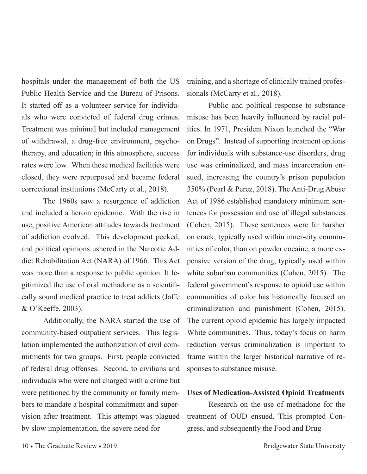hospitals under the management of both the US Public Health Service and the Bureau of Prisons. It started off as a volunteer service for individuals who were convicted of federal drug crimes. Treatment was minimal but included management of withdrawal, a drug-free environment, psychotherapy, and education; in this atmosphere, success rates were low. When these medical facilities were closed, they were repurposed and became federal correctional institutions (McCarty et al., 2018).

The 1960s saw a resurgence of addiction and included a heroin epidemic. With the rise in use, positive American attitudes towards treatment of addiction evolved. This development peeked, and political opinions ushered in the Narcotic Addict Rehabilitation Act (NARA) of 1966. This Act was more than a response to public opinion. It legitimized the use of oral methadone as a scientifically sound medical practice to treat addicts (Jaffe & O'Keeffe, 2003).

Additionally, the NARA started the use of community-based outpatient services. This legislation implemented the authorization of civil commitments for two groups. First, people convicted of federal drug offenses. Second, to civilians and individuals who were not charged with a crime but were petitioned by the community or family members to mandate a hospital commitment and supervision after treatment. This attempt was plagued by slow implementation, the severe need for

training, and a shortage of clinically trained professionals (McCarty et al., 2018).

Public and political response to substance misuse has been heavily influenced by racial politics. In 1971, President Nixon launched the "War on Drugs". Instead of supporting treatment options for individuals with substance-use disorders, drug use was criminalized, and mass incarceration ensued, increasing the country's prison population 350% (Pearl & Perez, 2018). The Anti-Drug Abuse Act of 1986 established mandatory minimum sentences for possession and use of illegal substances (Cohen, 2015). These sentences were far harsher on crack, typically used within inner-city communities of color, than on powder cocaine, a more expensive version of the drug, typically used within white suburban communities (Cohen, 2015). The federal government's response to opioid use within communities of color has historically focused on criminalization and punishment (Cohen, 2015). The current opioid epidemic has largely impacted White communities. Thus, today's focus on harm reduction versus criminalization is important to frame within the larger historical narrative of responses to substance misuse.

#### **Uses of Medication-Assisted Opioid Treatments**

Research on the use of methadone for the treatment of OUD ensued. This prompted Congress, and subsequently the Food and Drug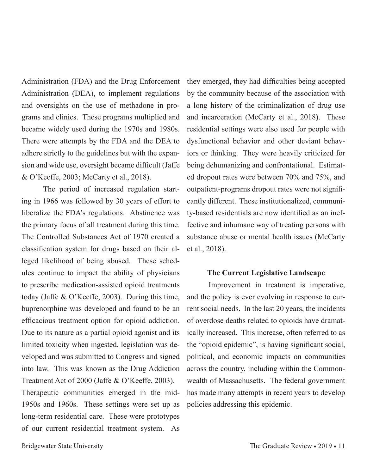Administration (FDA) and the Drug Enforcement Administration (DEA), to implement regulations and oversights on the use of methadone in programs and clinics. These programs multiplied and became widely used during the 1970s and 1980s. There were attempts by the FDA and the DEA to adhere strictly to the guidelines but with the expansion and wide use, oversight became difficult (Jaffe & O'Keeffe, 2003; McCarty et al., 2018).

The period of increased regulation starting in 1966 was followed by 30 years of effort to liberalize the FDA's regulations. Abstinence was the primary focus of all treatment during this time. The Controlled Substances Act of 1970 created a classification system for drugs based on their alleged likelihood of being abused. These schedules continue to impact the ability of physicians to prescribe medication-assisted opioid treatments today (Jaffe & O'Keeffe, 2003). During this time, buprenorphine was developed and found to be an efficacious treatment option for opioid addiction. Due to its nature as a partial opioid agonist and its limited toxicity when ingested, legislation was developed and was submitted to Congress and signed into law. This was known as the Drug Addiction Treatment Act of 2000 (Jaffe & O'Keeffe, 2003).

Therapeutic communities emerged in the mid-1950s and 1960s. These settings were set up as long-term residential care. These were prototypes of our current residential treatment system. As

they emerged, they had difficulties being accepted by the community because of the association with a long history of the criminalization of drug use and incarceration (McCarty et al., 2018). These residential settings were also used for people with dysfunctional behavior and other deviant behaviors or thinking. They were heavily criticized for being dehumanizing and confrontational. Estimated dropout rates were between 70% and 75%, and outpatient-programs dropout rates were not significantly different. These institutionalized, community-based residentials are now identified as an ineffective and inhumane way of treating persons with substance abuse or mental health issues (McCarty et al., 2018).

#### **The Current Legislative Landscape**

Improvement in treatment is imperative, and the policy is ever evolving in response to current social needs. In the last 20 years, the incidents of overdose deaths related to opioids have dramatically increased. This increase, often referred to as the "opioid epidemic", is having significant social, political, and economic impacts on communities across the country, including within the Commonwealth of Massachusetts. The federal government has made many attempts in recent years to develop policies addressing this epidemic.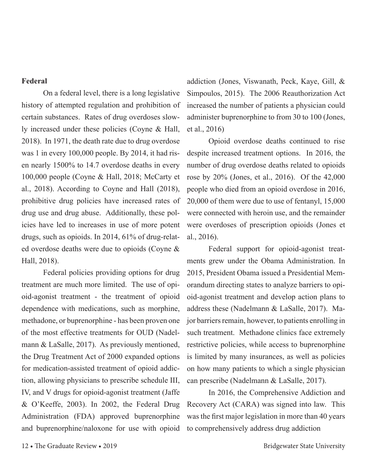#### **Federal**

On a federal level, there is a long legislative history of attempted regulation and prohibition of certain substances. Rates of drug overdoses slowly increased under these policies (Coyne & Hall, 2018). In 1971, the death rate due to drug overdose was 1 in every 100,000 people. By 2014, it had risen nearly 1500% to 14.7 overdose deaths in every 100,000 people (Coyne & Hall, 2018; McCarty et al., 2018). According to Coyne and Hall (2018), prohibitive drug policies have increased rates of drug use and drug abuse. Additionally, these policies have led to increases in use of more potent drugs, such as opioids. In 2014, 61% of drug-related overdose deaths were due to opioids (Coyne & Hall, 2018).

Federal policies providing options for drug treatment are much more limited. The use of opioid-agonist treatment - the treatment of opioid dependence with medications, such as morphine, methadone, or buprenorphine - has been proven one of the most effective treatments for OUD (Nadelmann & LaSalle, 2017). As previously mentioned, the Drug Treatment Act of 2000 expanded options for medication-assisted treatment of opioid addiction, allowing physicians to prescribe schedule III, IV, and V drugs for opioid-agonist treatment (Jaffe & O'Keeffe, 2003). In 2002, the Federal Drug Administration (FDA) approved buprenorphine and buprenorphine/naloxone for use with opioid

addiction (Jones, Viswanath, Peck, Kaye, Gill, & Simpoulos, 2015). The 2006 Reauthorization Act increased the number of patients a physician could administer buprenorphine to from 30 to 100 (Jones, et al., 2016)

Opioid overdose deaths continued to rise despite increased treatment options. In 2016, the number of drug overdose deaths related to opioids rose by 20% (Jones, et al., 2016). Of the 42,000 people who died from an opioid overdose in 2016, 20,000 of them were due to use of fentanyl, 15,000 were connected with heroin use, and the remainder were overdoses of prescription opioids (Jones et al., 2016).

Federal support for opioid-agonist treatments grew under the Obama Administration. In 2015, President Obama issued a Presidential Memorandum directing states to analyze barriers to opioid-agonist treatment and develop action plans to address these (Nadelmann & LaSalle, 2017). Major barriers remain, however, to patients enrolling in such treatment. Methadone clinics face extremely restrictive policies, while access to buprenorphine is limited by many insurances, as well as policies on how many patients to which a single physician can prescribe (Nadelmann & LaSalle, 2017).

In 2016, the Comprehensive Addiction and Recovery Act (CARA) was signed into law. This was the first major legislation in more than 40 years to comprehensively address drug addiction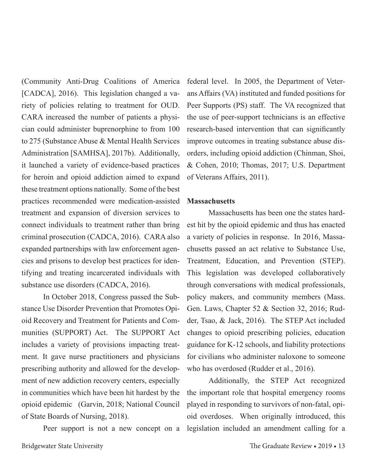(Community Anti-Drug Coalitions of America [CADCA], 2016). This legislation changed a variety of policies relating to treatment for OUD. CARA increased the number of patients a physician could administer buprenorphine to from 100 to 275 (Substance Abuse & Mental Health Services Administration [SAMHSA], 2017b). Additionally, it launched a variety of evidence-based practices for heroin and opioid addiction aimed to expand these treatment options nationally. Some of the best practices recommended were medication-assisted treatment and expansion of diversion services to connect individuals to treatment rather than bring criminal prosecution (CADCA, 2016). CARA also expanded partnerships with law enforcement agencies and prisons to develop best practices for identifying and treating incarcerated individuals with substance use disorders (CADCA, 2016).

In October 2018, Congress passed the Substance Use Disorder Prevention that Promotes Opioid Recovery and Treatment for Patients and Communities (SUPPORT) Act. The SUPPORT Act includes a variety of provisions impacting treatment. It gave nurse practitioners and physicians prescribing authority and allowed for the development of new addiction recovery centers, especially in communities which have been hit hardest by the opioid epidemic (Garvin, 2018; National Council of State Boards of Nursing, 2018).

Peer support is not a new concept on a

federal level. In 2005, the Department of Veterans Affairs (VA) instituted and funded positions for Peer Supports (PS) staff. The VA recognized that the use of peer-support technicians is an effective research-based intervention that can significantly improve outcomes in treating substance abuse disorders, including opioid addiction (Chinman, Shoi, & Cohen, 2010; Thomas, 2017; U.S. Department of Veterans Affairs, 2011).

#### **Massachusetts**

Massachusetts has been one the states hardest hit by the opioid epidemic and thus has enacted a variety of policies in response. In 2016, Massachusetts passed an act relative to Substance Use, Treatment, Education, and Prevention (STEP). This legislation was developed collaboratively through conversations with medical professionals, policy makers, and community members (Mass. Gen. Laws, Chapter 52 & Section 32, 2016; Rudder, Tsao, & Jack, 2016). The STEP Act included changes to opioid prescribing policies, education guidance for K-12 schools, and liability protections for civilians who administer naloxone to someone who has overdosed (Rudder et al., 2016).

Additionally, the STEP Act recognized the important role that hospital emergency rooms played in responding to survivors of non-fatal, opioid overdoses. When originally introduced, this legislation included an amendment calling for a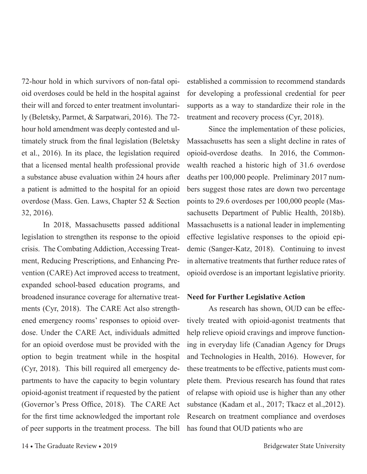72-hour hold in which survivors of non-fatal opioid overdoses could be held in the hospital against their will and forced to enter treatment involuntarily (Beletsky, Parmet, & Sarpatwari, 2016). The 72 hour hold amendment was deeply contested and ultimately struck from the final legislation (Beletsky et al., 2016). In its place, the legislation required that a licensed mental health professional provide a substance abuse evaluation within 24 hours after a patient is admitted to the hospital for an opioid overdose (Mass. Gen. Laws, Chapter 52 & Section 32, 2016).

In 2018, Massachusetts passed additional legislation to strengthen its response to the opioid crisis. The Combating Addiction, Accessing Treatment, Reducing Prescriptions, and Enhancing Prevention (CARE) Act improved access to treatment, expanded school-based education programs, and broadened insurance coverage for alternative treatments (Cyr, 2018). The CARE Act also strengthened emergency rooms' responses to opioid overdose. Under the CARE Act, individuals admitted for an opioid overdose must be provided with the option to begin treatment while in the hospital (Cyr, 2018). This bill required all emergency departments to have the capacity to begin voluntary opioid-agonist treatment if requested by the patient (Governor's Press Office, 2018). The CARE Act for the first time acknowledged the important role of peer supports in the treatment process. The bill established a commission to recommend standards for developing a professional credential for peer supports as a way to standardize their role in the treatment and recovery process (Cyr, 2018).

Since the implementation of these policies, Massachusetts has seen a slight decline in rates of opioid-overdose deaths. In 2016, the Commonwealth reached a historic high of 31.6 overdose deaths per 100,000 people. Preliminary 2017 numbers suggest those rates are down two percentage points to 29.6 overdoses per 100,000 people (Massachusetts Department of Public Health, 2018b). Massachusetts is a national leader in implementing effective legislative responses to the opioid epidemic (Sanger-Katz, 2018). Continuing to invest in alternative treatments that further reduce rates of opioid overdose is an important legislative priority.

#### **Need for Further Legislative Action**

As research has shown, OUD can be effectively treated with opioid-agonist treatments that help relieve opioid cravings and improve functioning in everyday life (Canadian Agency for Drugs and Technologies in Health, 2016). However, for these treatments to be effective, patients must complete them. Previous research has found that rates of relapse with opioid use is higher than any other substance (Kadam et al., 2017; Tkacz et al.,2012). Research on treatment compliance and overdoses has found that OUD patients who are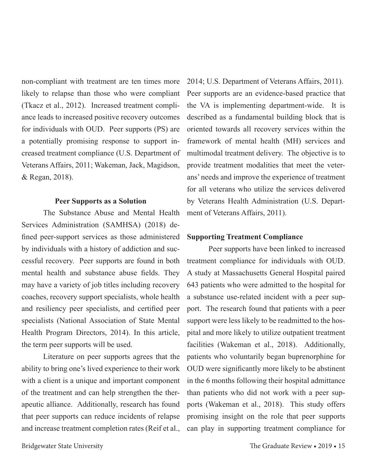non-compliant with treatment are ten times more likely to relapse than those who were compliant (Tkacz et al., 2012). Increased treatment compliance leads to increased positive recovery outcomes for individuals with OUD. Peer supports (PS) are a potentially promising response to support increased treatment compliance (U.S. Department of Veterans Affairs, 2011; Wakeman, Jack, Magidson, & Regan, 2018).

#### **Peer Supports as a Solution**

The Substance Abuse and Mental Health Services Administration (SAMHSA) (2018) defined peer-support services as those administered by individuals with a history of addiction and successful recovery. Peer supports are found in both mental health and substance abuse fields. They may have a variety of job titles including recovery coaches, recovery support specialists, whole health and resiliency peer specialists, and certified peer specialists (National Association of State Mental Health Program Directors, 2014). In this article, the term peer supports will be used.

Literature on peer supports agrees that the ability to bring one's lived experience to their work with a client is a unique and important component of the treatment and can help strengthen the therapeutic alliance. Additionally, research has found that peer supports can reduce incidents of relapse and increase treatment completion rates (Reif et al.,

2014; U.S. Department of Veterans Affairs, 2011). Peer supports are an evidence-based practice that the VA is implementing department-wide. It is described as a fundamental building block that is oriented towards all recovery services within the framework of mental health (MH) services and multimodal treatment delivery. The objective is to provide treatment modalities that meet the veterans' needs and improve the experience of treatment for all veterans who utilize the services delivered by Veterans Health Administration (U.S. Department of Veterans Affairs, 2011).

#### **Supporting Treatment Compliance**

Peer supports have been linked to increased treatment compliance for individuals with OUD. A study at Massachusetts General Hospital paired 643 patients who were admitted to the hospital for a substance use-related incident with a peer support. The research found that patients with a peer support were less likely to be readmitted to the hospital and more likely to utilize outpatient treatment facilities (Wakeman et al., 2018). Additionally, patients who voluntarily began buprenorphine for OUD were significantly more likely to be abstinent in the 6 months following their hospital admittance than patients who did not work with a peer supports (Wakeman et al., 2018). This study offers promising insight on the role that peer supports can play in supporting treatment compliance for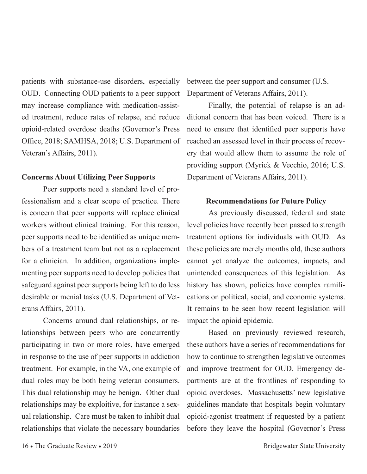patients with substance-use disorders, especially OUD. Connecting OUD patients to a peer support may increase compliance with medication-assisted treatment, reduce rates of relapse, and reduce opioid-related overdose deaths (Governor's Press Office, 2018; SAMHSA, 2018; U.S. Department of Veteran's Affairs, 2011).

#### **Concerns About Utilizing Peer Supports**

Peer supports need a standard level of professionalism and a clear scope of practice. There is concern that peer supports will replace clinical workers without clinical training. For this reason, peer supports need to be identified as unique members of a treatment team but not as a replacement for a clinician. In addition, organizations implementing peer supports need to develop policies that safeguard against peer supports being left to do less desirable or menial tasks (U.S. Department of Veterans Affairs, 2011).

Concerns around dual relationships, or relationships between peers who are concurrently participating in two or more roles, have emerged in response to the use of peer supports in addiction treatment. For example, in the VA, one example of dual roles may be both being veteran consumers. This dual relationship may be benign. Other dual relationships may be exploitive, for instance a sexual relationship. Care must be taken to inhibit dual relationships that violate the necessary boundaries

between the peer support and consumer (U.S. Department of Veterans Affairs, 2011).

Finally, the potential of relapse is an additional concern that has been voiced. There is a need to ensure that identified peer supports have reached an assessed level in their process of recovery that would allow them to assume the role of providing support (Myrick & Vecchio, 2016; U.S. Department of Veterans Affairs, 2011).

#### **Recommendations for Future Policy**

As previously discussed, federal and state level policies have recently been passed to strength treatment options for individuals with OUD. As these policies are merely months old, these authors cannot yet analyze the outcomes, impacts, and unintended consequences of this legislation. As history has shown, policies have complex ramifications on political, social, and economic systems. It remains to be seen how recent legislation will impact the opioid epidemic.

Based on previously reviewed research, these authors have a series of recommendations for how to continue to strengthen legislative outcomes and improve treatment for OUD. Emergency departments are at the frontlines of responding to opioid overdoses. Massachusetts' new legislative guidelines mandate that hospitals begin voluntary opioid-agonist treatment if requested by a patient before they leave the hospital (Governor's Press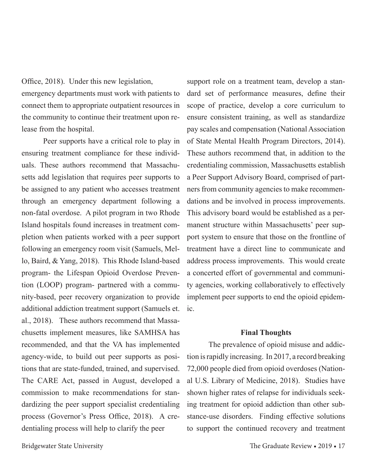Office, 2018). Under this new legislation, emergency departments must work with patients to connect them to appropriate outpatient resources in the community to continue their treatment upon release from the hospital.

Peer supports have a critical role to play in ensuring treatment compliance for these individuals. These authors recommend that Massachusetts add legislation that requires peer supports to be assigned to any patient who accesses treatment through an emergency department following a non-fatal overdose. A pilot program in two Rhode Island hospitals found increases in treatment completion when patients worked with a peer support following an emergency room visit (Samuels, Mello, Baird, & Yang, 2018). This Rhode Island-based program- the Lifespan Opioid Overdose Prevention (LOOP) program- partnered with a community-based, peer recovery organization to provide additional addiction treatment support (Samuels et. al., 2018). These authors recommend that Massachusetts implement measures, like SAMHSA has recommended, and that the VA has implemented agency-wide, to build out peer supports as positions that are state-funded, trained, and supervised. The CARE Act, passed in August, developed a commission to make recommendations for standardizing the peer support specialist credentialing process (Governor's Press Office, 2018). A credentialing process will help to clarify the peer

support role on a treatment team, develop a standard set of performance measures, define their scope of practice, develop a core curriculum to ensure consistent training, as well as standardize pay scales and compensation (National Association of State Mental Health Program Directors, 2014). These authors recommend that, in addition to the credentialing commission, Massachusetts establish a Peer Support Advisory Board, comprised of partners from community agencies to make recommendations and be involved in process improvements. This advisory board would be established as a permanent structure within Massachusetts' peer support system to ensure that those on the frontline of treatment have a direct line to communicate and address process improvements. This would create a concerted effort of governmental and community agencies, working collaboratively to effectively implement peer supports to end the opioid epidemic.

#### **Final Thoughts**

The prevalence of opioid misuse and addiction is rapidly increasing. In 2017, a record breaking 72,000 people died from opioid overdoses (National U.S. Library of Medicine, 2018). Studies have shown higher rates of relapse for individuals seeking treatment for opioid addiction than other substance-use disorders. Finding effective solutions to support the continued recovery and treatment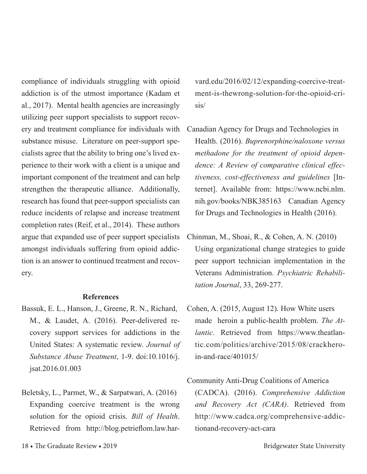compliance of individuals struggling with opioid addiction is of the utmost importance (Kadam et al., 2017). Mental health agencies are increasingly utilizing peer support specialists to support recovery and treatment compliance for individuals with substance misuse. Literature on peer-support specialists agree that the ability to bring one's lived experience to their work with a client is a unique and important component of the treatment and can help strengthen the therapeutic alliance. Additionally, research has found that peer-support specialists can reduce incidents of relapse and increase treatment completion rates (Reif, et al., 2014). These authors argue that expanded use of peer support specialists amongst individuals suffering from opioid addiction is an answer to continued treatment and recovery.

#### **References**

- Bassuk, E. L., Hanson, J., Greene, R. N., Richard, M., & Laudet, A. (2016). Peer-delivered recovery support services for addictions in the United States: A systematic review. *Journal of Substance Abuse Treatment*, 1-9. doi:10.1016/j. jsat.2016.01.003
- Beletsky, L., Parmet, W., & Sarpatwari, A. (2016) Expanding coercive treatment is the wrong solution for the opioid crisis. *Bill of Health*. Retrieved from http://blog.petrieflom.law.har-

vard.edu/2016/02/12/expanding-coercive-treatment-is-thewrong-solution-for-the-opioid-crisis/

- Canadian Agency for Drugs and Technologies in Health. (2016). *Buprenorphine/naloxone versus methadone for the treatment of opioid dependence: A Review of comparative clinical effectiveness, cost-effectiveness and guidelines* [Internet]. Available from: https://www.ncbi.nlm. nih.gov/books/NBK385163 Canadian Agency for Drugs and Technologies in Health (2016).
- Chinman, M., Shoai, R., & Cohen, A. N. (2010) Using organizational change strategies to guide peer support technician implementation in the Veterans Administration. *Psychiatric Rehabilitation Journal*, 33, 269-277.
- Cohen, A. (2015, August 12). How White users made heroin a public-health problem. *The Atlantic*. Retrieved from https://www.theatlantic.com/politics/archive/2015/08/crackheroin-and-race/401015/

## Community Anti-Drug Coalitions of America (CADCA). (2016). *Comprehensive Addiction and Recovery Act (CARA)*. Retrieved from http://www.cadca.org/comprehensive-addictionand-recovery-act-cara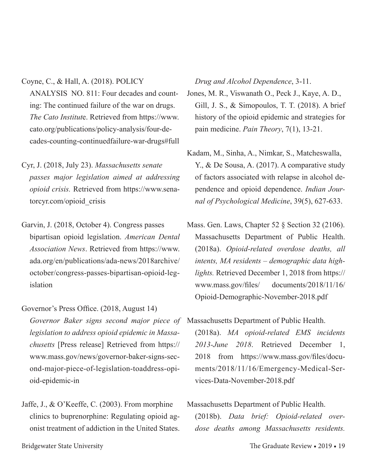Coyne, C., & Hall, A. (2018). POLICY

ANALYSIS NO. 811: Four decades and counting: The continued failure of the war on drugs. *The Cato Institut*e. Retrieved from https://www. cato.org/publications/policy-analysis/four-decades-counting-continuedfailure-war-drugs#full

Cyr, J. (2018, July 23). *Massachusetts senate passes major legislation aimed at addressing opioid crisis.* Retrieved from https://www.senatorcyr.com/opioid\_crisis

Garvin, J. (2018, October 4). Congress passes bipartisan opioid legislation. *American Dental Association News*. Retrieved from https://www. ada.org/en/publications/ada-news/2018archive/ october/congress-passes-bipartisan-opioid-legislation

Governor's Press Office. (2018, August 14) *Governor Baker signs second major piece of*  Massachusetts Department of Public Health. *legislation to address opioid epidemic in Massachusetts* [Press release] Retrieved from https:// www.mass.gov/news/governor-baker-signs-second-major-piece-of-legislation-toaddress-opioid-epidemic-in

Jaffe, J., & O'Keeffe, C. (2003). From morphine clinics to buprenorphine: Regulating opioid agonist treatment of addiction in the United States.

*Drug and Alcohol Dependence*, 3-11.

Jones, M. R., Viswanath O., Peck J., Kaye, A. D., Gill, J. S., & Simopoulos, T. T. (2018). A brief history of the opioid epidemic and strategies for pain medicine. *Pain Theory*, 7(1), 13-21.

- Kadam, M., Sinha, A., Nimkar, S., Matcheswalla, Y., & De Sousa, A. (2017). A comparative study of factors associated with relapse in alcohol dependence and opioid dependence. *Indian Journal of Psychological Medicine*, 39(5), 627-633.
- Mass. Gen. Laws, Chapter 52 § Section 32 (2106). Massachusetts Department of Public Health. (2018a). *Opioid-related overdose deaths, all intents, MA residents – demographic data highlights.* Retrieved December 1, 2018 from https:// www.mass.gov/files/ documents/2018/11/16/ Opioid-Demographic-November-2018.pdf

(2018a). *MA opioid-related EMS incidents 2013-June 2018*. Retrieved December 1, 2018 from https://www.mass.gov/files/documents/2018/11/16/Emergency-Medical-Services-Data-November-2018.pdf

Massachusetts Department of Public Health. (2018b). *Data brief: Opioid-related overdose deaths among Massachusetts residents.*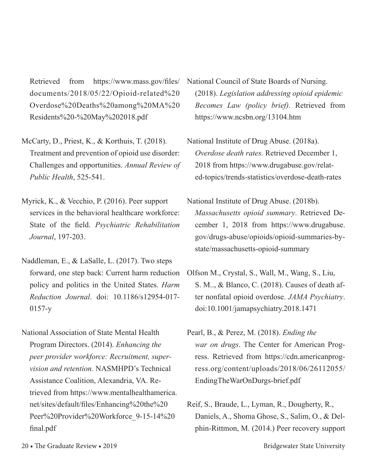Retrieved from https://www.mass.gov/files/ documents/2018/05/22/Opioid-related%20 Overdose%20Deaths%20among%20MA%20 Residents%20-%20May%202018.pdf

- McCarty, D., Priest, K., & Korthuis, T. (2018). Treatment and prevention of opioid use disorder: Challenges and opportunities. *Annual Review of Public Health*, 525-541.
- Myrick, K., & Vecchio, P. (2016). Peer support services in the behavioral healthcare workforce: State of the field. *Psychiatric Rehabilitation Journal*, 197-203.
- Naddleman, E., & LaSalle, L. (2017). Two steps forward, one step back: Current harm reduction policy and politics in the United States. *Harm Reduction Journal*. doi: 10.1186/s12954-017- 0157-y
- National Association of State Mental Health Program Directors. (2014). *Enhancing the peer provider workforce: Recruitment, supervision and retention.* NASMHPD's Technical Assistance Coalition, Alexandria, VA. Retrieved from https://www.mentalhealthamerica. net/sites/default/files/Enhancing%20the%20 Peer%20Provider%20Workforce\_9-15-14%20 final.pdf

National Council of State Boards of Nursing. (2018). *Legislation addressing opioid epidemic Becomes Law (policy brief)*. Retrieved from https://www.ncsbn.org/13104.htm

- National Institute of Drug Abuse. (2018a). *Overdose death rates.* Retrieved December 1, 2018 from https://www.drugabuse.gov/related-topics/trends-statistics/overdose-death-rates
- National Institute of Drug Abuse. (2018b). *Massachusetts opioid summary*. Retrieved December 1, 2018 from https://www.drugabuse. gov/drugs-abuse/opioids/opioid-summaries-bystate/massachusetts-opioid-summary
- Olfson M., Crystal, S., Wall, M., Wang, S., Liu, S. M.., & Blanco, C. (2018). Causes of death after nonfatal opioid overdose. *JAMA Psychiatry*. doi:10.1001/jamapsychiatry.2018.1471
- Pearl, B., & Perez, M. (2018). *Ending the war on drugs*. The Center for American Progress. Retrieved from https://cdn.americanprogress.org/content/uploads/2018/06/26112055/ EndingTheWarOnDurgs-brief.pdf
- Reif, S., Braude, L., Lyman, R., Dougherty, R., Daniels, A., Shoma Ghose, S., Salim, O., & Delphin-Rittmon, M. (2014.) Peer recovery support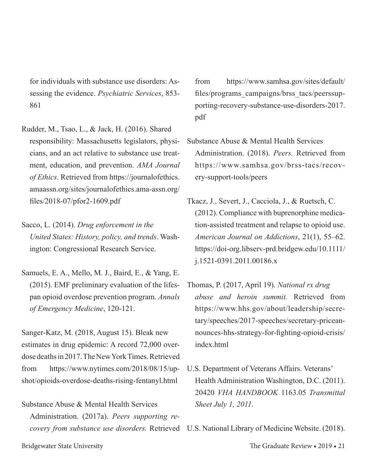for individuals with substance use disorders: Assessing the evidence. *Psychiatric Services*, 853- 861

Rudder, M., Tsao, L., & Jack, H. (2016). Shared responsibility: Massachusetts legislators, physicians, and an act relative to substance use treatment, education, and prevention. *AMA Journal of Ethics*. Retrieved from https://journalofethics. amaassn.org/sites/journalofethics.ama-assn.org/ files/2018-07/pfor2-1609.pdf

Sacco, L. (2014). *Drug enforcement in the United States: History, policy, and trends*. Washington: Congressional Research Service.

Samuels, E. A., Mello, M. J., Baird, E., & Yang, E. (2015). EMF preliminary evaluation of the lifespan opioid overdose prevention program. *Annals of Emergency Medicine*, 120-121.

Sanger-Katz, M. (2018, August 15). Bleak new estimates in drug epidemic: A record 72,000 overdose deaths in 2017. The New York Times. Retrieved from https://www.nytimes.com/2018/08/15/upshot/opioids-overdose-deaths-rising-fentanyl.html

Substance Abuse & Mental Health Services Administration. (2017a). *Peers supporting re-* from https://www.samhsa.gov/sites/default/ files/programs\_campaigns/brss\_tacs/peerssupporting-recovery-substance-use-disorders-2017. pdf

- Substance Abuse & Mental Health Services Administration. (2018). *Peers.* Retrieved from https://www.samhsa.gov/brss-tacs/recovery-support-tools/peers
- Tkacz, J., Severt, J., Cacciola, J., & Ruetsch, C. (2012). Compliance with buprenorphine medication-assisted treatment and relapse to opioid use. *American Journal on Addictions*, 21(1), 55–62. https://doi-org.libserv-prd.bridgew.edu/10.1111/ j.1521-0391.2011.00186.x
- Thomas, P. (2017, April 19). *National rx drug abuse and heroin summit.* Retrieved from https://www.hhs.gov/about/leadership/secretary/speeches/2017-speeches/secretary-priceannounces-hhs-strategy-for-fighting-opioid-crisis/ index html
- U.S. Department of Veterans Affairs. Veterans' Health Administration Washington, D.C. (2011). 20420 *VHA HANDBOOK* 1163.05 *Transmittal Sheet July 1, 2011*.

*covery from substance use disorders.* Retrieved U.S. National Library of Medicine Website. (2018).